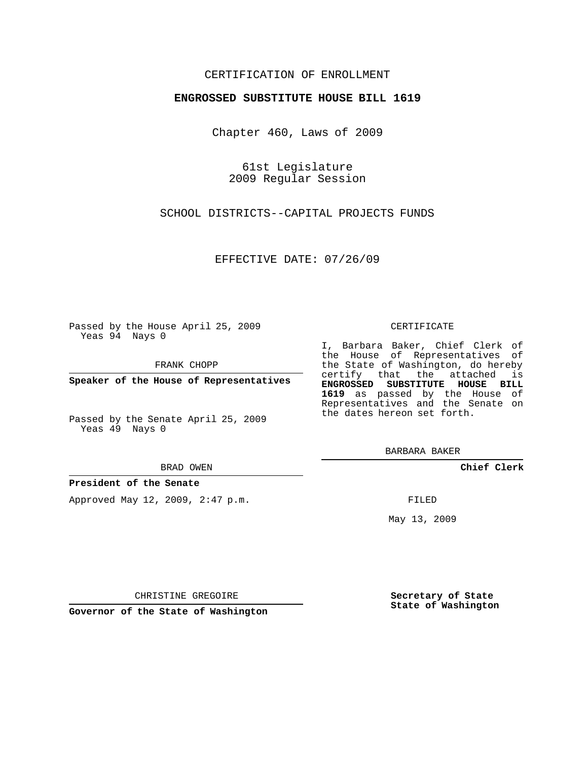# CERTIFICATION OF ENROLLMENT

## **ENGROSSED SUBSTITUTE HOUSE BILL 1619**

Chapter 460, Laws of 2009

61st Legislature 2009 Regular Session

SCHOOL DISTRICTS--CAPITAL PROJECTS FUNDS

EFFECTIVE DATE: 07/26/09

Passed by the House April 25, 2009 Yeas 94 Nays 0

FRANK CHOPP

**Speaker of the House of Representatives**

Passed by the Senate April 25, 2009 Yeas 49 Nays 0

#### BRAD OWEN

### **President of the Senate**

Approved May 12, 2009, 2:47 p.m.

#### CERTIFICATE

I, Barbara Baker, Chief Clerk of the House of Representatives of the State of Washington, do hereby certify that the attached is **ENGROSSED SUBSTITUTE HOUSE BILL 1619** as passed by the House of Representatives and the Senate on the dates hereon set forth.

BARBARA BAKER

**Chief Clerk**

FILED

May 13, 2009

**Secretary of State State of Washington**

CHRISTINE GREGOIRE

**Governor of the State of Washington**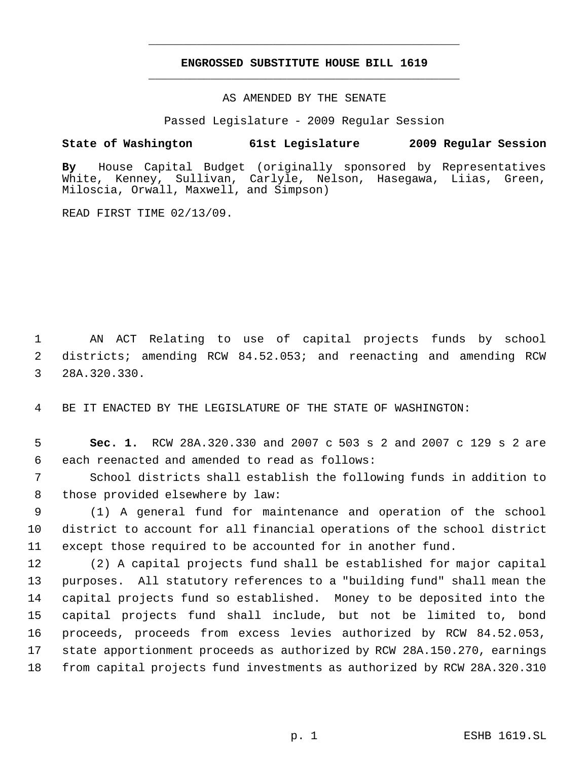# **ENGROSSED SUBSTITUTE HOUSE BILL 1619** \_\_\_\_\_\_\_\_\_\_\_\_\_\_\_\_\_\_\_\_\_\_\_\_\_\_\_\_\_\_\_\_\_\_\_\_\_\_\_\_\_\_\_\_\_

\_\_\_\_\_\_\_\_\_\_\_\_\_\_\_\_\_\_\_\_\_\_\_\_\_\_\_\_\_\_\_\_\_\_\_\_\_\_\_\_\_\_\_\_\_

## AS AMENDED BY THE SENATE

Passed Legislature - 2009 Regular Session

# **State of Washington 61st Legislature 2009 Regular Session**

**By** House Capital Budget (originally sponsored by Representatives White, Kenney, Sullivan, Carlyle, Nelson, Hasegawa, Liias, Green, Miloscia, Orwall, Maxwell, and Simpson)

READ FIRST TIME 02/13/09.

 AN ACT Relating to use of capital projects funds by school districts; amending RCW 84.52.053; and reenacting and amending RCW 28A.320.330.

BE IT ENACTED BY THE LEGISLATURE OF THE STATE OF WASHINGTON:

 **Sec. 1.** RCW 28A.320.330 and 2007 c 503 s 2 and 2007 c 129 s 2 are each reenacted and amended to read as follows:

 School districts shall establish the following funds in addition to those provided elsewhere by law:

 (1) A general fund for maintenance and operation of the school district to account for all financial operations of the school district except those required to be accounted for in another fund.

 (2) A capital projects fund shall be established for major capital purposes. All statutory references to a "building fund" shall mean the capital projects fund so established. Money to be deposited into the capital projects fund shall include, but not be limited to, bond proceeds, proceeds from excess levies authorized by RCW 84.52.053, state apportionment proceeds as authorized by RCW 28A.150.270, earnings from capital projects fund investments as authorized by RCW 28A.320.310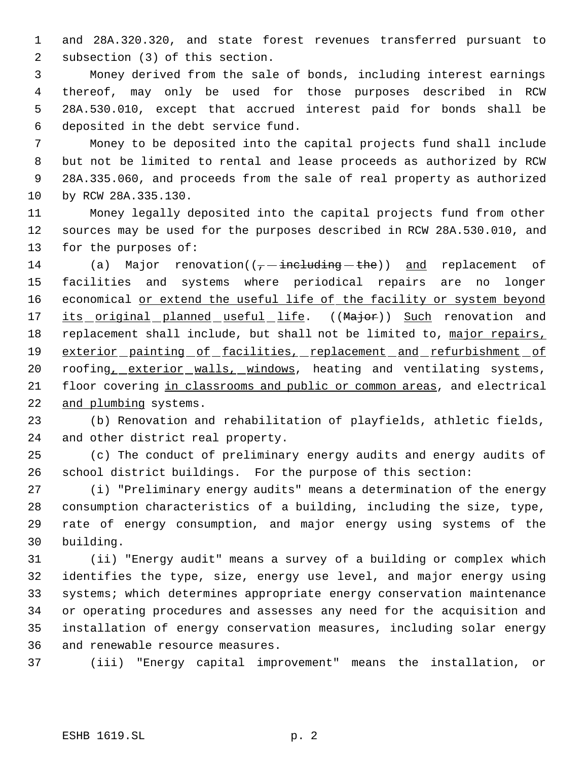and 28A.320.320, and state forest revenues transferred pursuant to subsection (3) of this section.

 Money derived from the sale of bonds, including interest earnings thereof, may only be used for those purposes described in RCW 28A.530.010, except that accrued interest paid for bonds shall be deposited in the debt service fund.

 Money to be deposited into the capital projects fund shall include but not be limited to rental and lease proceeds as authorized by RCW 28A.335.060, and proceeds from the sale of real property as authorized by RCW 28A.335.130.

 Money legally deposited into the capital projects fund from other sources may be used for the purposes described in RCW 28A.530.010, and for the purposes of:

14 (a) Major renovation( $(-$  including the)) and replacement of facilities and systems where periodical repairs are no longer 16 economical or extend the useful life of the facility or system beyond 17 its original planned useful life. ((Major)) Such renovation and replacement shall include, but shall not be limited to, major repairs, 19 exterior painting of facilities, replacement and refurbishment of 20 roofing, exterior walls, windows, heating and ventilating systems, 21 floor covering in classrooms and public or common areas, and electrical and plumbing systems.

 (b) Renovation and rehabilitation of playfields, athletic fields, and other district real property.

 (c) The conduct of preliminary energy audits and energy audits of school district buildings. For the purpose of this section:

 (i) "Preliminary energy audits" means a determination of the energy consumption characteristics of a building, including the size, type, rate of energy consumption, and major energy using systems of the building.

 (ii) "Energy audit" means a survey of a building or complex which identifies the type, size, energy use level, and major energy using systems; which determines appropriate energy conservation maintenance or operating procedures and assesses any need for the acquisition and installation of energy conservation measures, including solar energy and renewable resource measures.

(iii) "Energy capital improvement" means the installation, or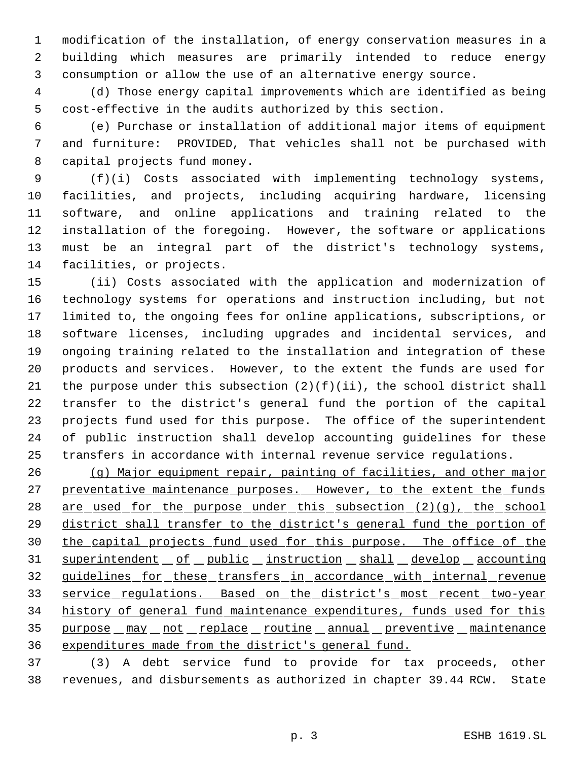modification of the installation, of energy conservation measures in a building which measures are primarily intended to reduce energy consumption or allow the use of an alternative energy source.

 (d) Those energy capital improvements which are identified as being cost-effective in the audits authorized by this section.

 (e) Purchase or installation of additional major items of equipment and furniture: PROVIDED, That vehicles shall not be purchased with capital projects fund money.

 (f)(i) Costs associated with implementing technology systems, facilities, and projects, including acquiring hardware, licensing software, and online applications and training related to the installation of the foregoing. However, the software or applications must be an integral part of the district's technology systems, facilities, or projects.

 (ii) Costs associated with the application and modernization of technology systems for operations and instruction including, but not limited to, the ongoing fees for online applications, subscriptions, or software licenses, including upgrades and incidental services, and ongoing training related to the installation and integration of these products and services. However, to the extent the funds are used for 21 the purpose under this subsection  $(2)(f)(ii)$ , the school district shall transfer to the district's general fund the portion of the capital projects fund used for this purpose. The office of the superintendent of public instruction shall develop accounting guidelines for these transfers in accordance with internal revenue service regulations.

 (g) Major equipment repair, painting of facilities, and other major 27 preventative maintenance purposes. However, to the extent the funds 28 are used for the purpose under this subsection (2)(g), the school 29 district shall transfer to the district's general fund the portion of 30 the capital projects fund used for this purpose. The office of the 31 superintendent of public instruction shall develop accounting guidelines for these transfers in accordance with internal revenue 33 service regulations. Based on the district's most recent two-year history of general fund maintenance expenditures, funds used for this 35 purpose  $max$  not replace routine annual preventive maintenance expenditures made from the district's general fund.

 (3) A debt service fund to provide for tax proceeds, other revenues, and disbursements as authorized in chapter 39.44 RCW. State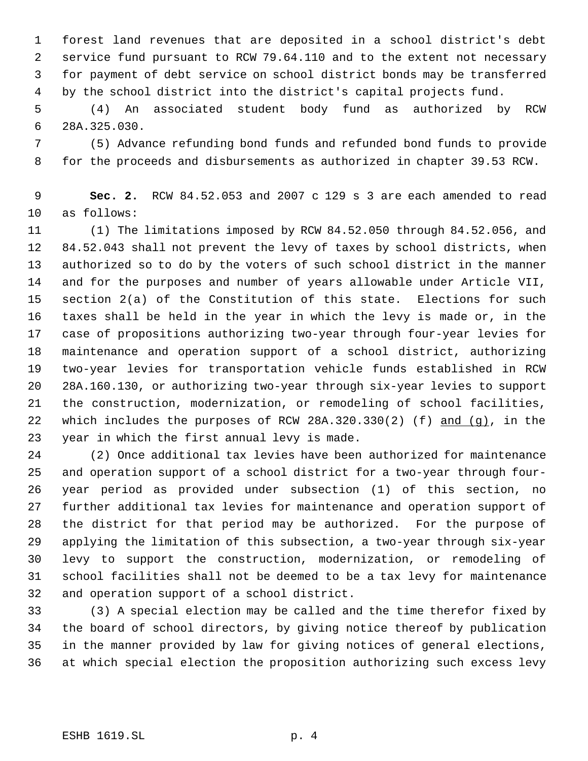forest land revenues that are deposited in a school district's debt service fund pursuant to RCW 79.64.110 and to the extent not necessary for payment of debt service on school district bonds may be transferred by the school district into the district's capital projects fund.

 (4) An associated student body fund as authorized by RCW 28A.325.030.

 (5) Advance refunding bond funds and refunded bond funds to provide for the proceeds and disbursements as authorized in chapter 39.53 RCW.

 **Sec. 2.** RCW 84.52.053 and 2007 c 129 s 3 are each amended to read as follows:

 (1) The limitations imposed by RCW 84.52.050 through 84.52.056, and 84.52.043 shall not prevent the levy of taxes by school districts, when authorized so to do by the voters of such school district in the manner and for the purposes and number of years allowable under Article VII, section 2(a) of the Constitution of this state. Elections for such taxes shall be held in the year in which the levy is made or, in the case of propositions authorizing two-year through four-year levies for maintenance and operation support of a school district, authorizing two-year levies for transportation vehicle funds established in RCW 28A.160.130, or authorizing two-year through six-year levies to support the construction, modernization, or remodeling of school facilities, 22 which includes the purposes of RCW 28A.320.330(2) (f) and (g), in the year in which the first annual levy is made.

 (2) Once additional tax levies have been authorized for maintenance and operation support of a school district for a two-year through four- year period as provided under subsection (1) of this section, no further additional tax levies for maintenance and operation support of the district for that period may be authorized. For the purpose of applying the limitation of this subsection, a two-year through six-year levy to support the construction, modernization, or remodeling of school facilities shall not be deemed to be a tax levy for maintenance and operation support of a school district.

 (3) A special election may be called and the time therefor fixed by the board of school directors, by giving notice thereof by publication in the manner provided by law for giving notices of general elections, at which special election the proposition authorizing such excess levy